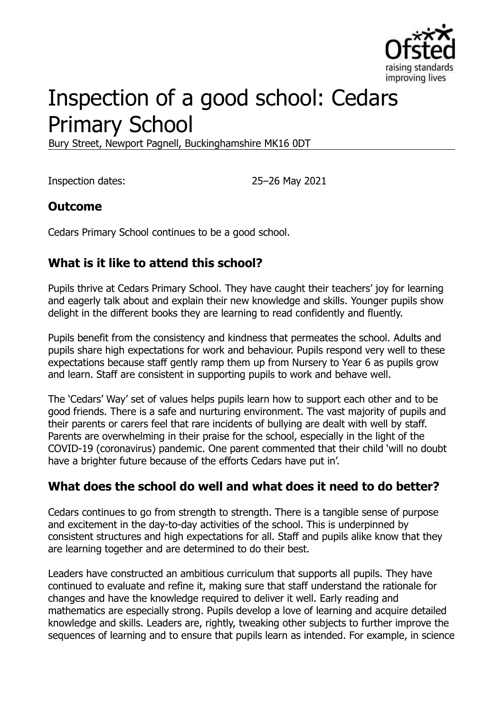

# Inspection of a good school: Cedars Primary School

Bury Street, Newport Pagnell, Buckinghamshire MK16 0DT

Inspection dates: 25–26 May 2021

#### **Outcome**

Cedars Primary School continues to be a good school.

### **What is it like to attend this school?**

Pupils thrive at Cedars Primary School. They have caught their teachers' joy for learning and eagerly talk about and explain their new knowledge and skills. Younger pupils show delight in the different books they are learning to read confidently and fluently.

Pupils benefit from the consistency and kindness that permeates the school. Adults and pupils share high expectations for work and behaviour. Pupils respond very well to these expectations because staff gently ramp them up from Nursery to Year 6 as pupils grow and learn. Staff are consistent in supporting pupils to work and behave well.

The 'Cedars' Way' set of values helps pupils learn how to support each other and to be good friends. There is a safe and nurturing environment. The vast majority of pupils and their parents or carers feel that rare incidents of bullying are dealt with well by staff. Parents are overwhelming in their praise for the school, especially in the light of the COVID-19 (coronavirus) pandemic. One parent commented that their child 'will no doubt have a brighter future because of the efforts Cedars have put in'.

### **What does the school do well and what does it need to do better?**

Cedars continues to go from strength to strength. There is a tangible sense of purpose and excitement in the day-to-day activities of the school. This is underpinned by consistent structures and high expectations for all. Staff and pupils alike know that they are learning together and are determined to do their best.

Leaders have constructed an ambitious curriculum that supports all pupils. They have continued to evaluate and refine it, making sure that staff understand the rationale for changes and have the knowledge required to deliver it well. Early reading and mathematics are especially strong. Pupils develop a love of learning and acquire detailed knowledge and skills. Leaders are, rightly, tweaking other subjects to further improve the sequences of learning and to ensure that pupils learn as intended. For example, in science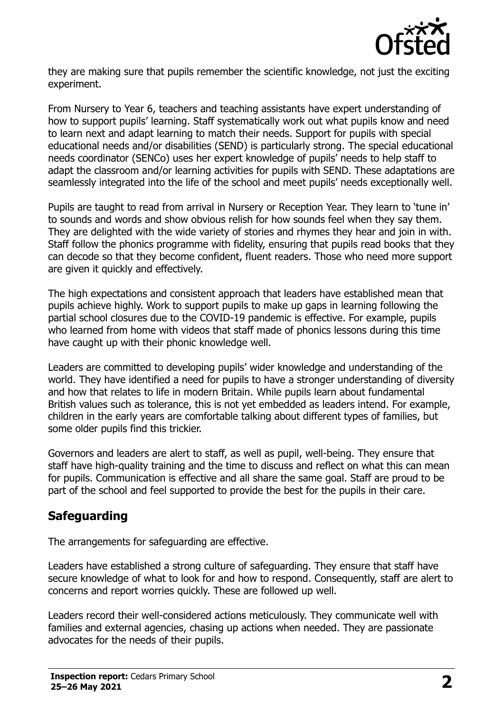

they are making sure that pupils remember the scientific knowledge, not just the exciting experiment.

From Nursery to Year 6, teachers and teaching assistants have expert understanding of how to support pupils' learning. Staff systematically work out what pupils know and need to learn next and adapt learning to match their needs. Support for pupils with special educational needs and/or disabilities (SEND) is particularly strong. The special educational needs coordinator (SENCo) uses her expert knowledge of pupils' needs to help staff to adapt the classroom and/or learning activities for pupils with SEND. These adaptations are seamlessly integrated into the life of the school and meet pupils' needs exceptionally well.

Pupils are taught to read from arrival in Nursery or Reception Year. They learn to 'tune in' to sounds and words and show obvious relish for how sounds feel when they say them. They are delighted with the wide variety of stories and rhymes they hear and join in with. Staff follow the phonics programme with fidelity, ensuring that pupils read books that they can decode so that they become confident, fluent readers. Those who need more support are given it quickly and effectively.

The high expectations and consistent approach that leaders have established mean that pupils achieve highly. Work to support pupils to make up gaps in learning following the partial school closures due to the COVID-19 pandemic is effective. For example, pupils who learned from home with videos that staff made of phonics lessons during this time have caught up with their phonic knowledge well.

Leaders are committed to developing pupils' wider knowledge and understanding of the world. They have identified a need for pupils to have a stronger understanding of diversity and how that relates to life in modern Britain. While pupils learn about fundamental British values such as tolerance, this is not yet embedded as leaders intend. For example, children in the early years are comfortable talking about different types of families, but some older pupils find this trickier.

Governors and leaders are alert to staff, as well as pupil, well-being. They ensure that staff have high-quality training and the time to discuss and reflect on what this can mean for pupils. Communication is effective and all share the same goal. Staff are proud to be part of the school and feel supported to provide the best for the pupils in their care.

### **Safeguarding**

The arrangements for safeguarding are effective.

Leaders have established a strong culture of safeguarding. They ensure that staff have secure knowledge of what to look for and how to respond. Consequently, staff are alert to concerns and report worries quickly. These are followed up well.

Leaders record their well-considered actions meticulously. They communicate well with families and external agencies, chasing up actions when needed. They are passionate advocates for the needs of their pupils.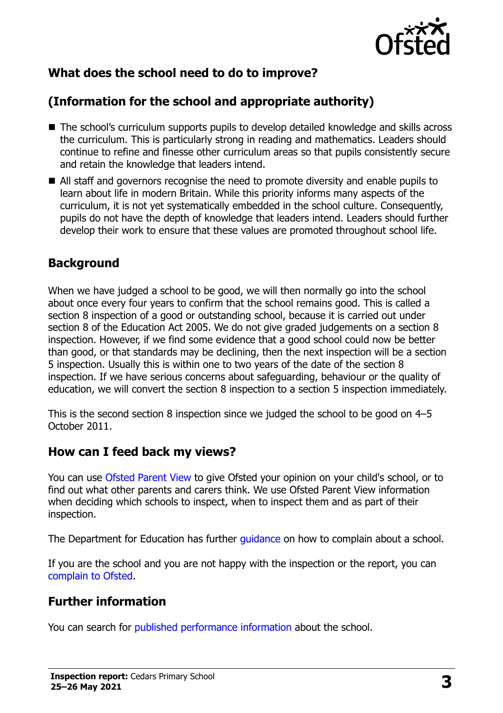

## **What does the school need to do to improve?**

# **(Information for the school and appropriate authority)**

- The school's curriculum supports pupils to develop detailed knowledge and skills across the curriculum. This is particularly strong in reading and mathematics. Leaders should continue to refine and finesse other curriculum areas so that pupils consistently secure and retain the knowledge that leaders intend.
- All staff and governors recognise the need to promote diversity and enable pupils to learn about life in modern Britain. While this priority informs many aspects of the curriculum, it is not yet systematically embedded in the school culture. Consequently, pupils do not have the depth of knowledge that leaders intend. Leaders should further develop their work to ensure that these values are promoted throughout school life.

### **Background**

When we have judged a school to be good, we will then normally go into the school about once every four years to confirm that the school remains good. This is called a section 8 inspection of a good or outstanding school, because it is carried out under section 8 of the Education Act 2005. We do not give graded judgements on a section 8 inspection. However, if we find some evidence that a good school could now be better than good, or that standards may be declining, then the next inspection will be a section 5 inspection. Usually this is within one to two years of the date of the section 8 inspection. If we have serious concerns about safeguarding, behaviour or the quality of education, we will convert the section 8 inspection to a section 5 inspection immediately.

This is the second section 8 inspection since we judged the school to be good on 4–5 October 2011.

#### **How can I feed back my views?**

You can use [Ofsted Parent View](https://parentview.ofsted.gov.uk/) to give Ofsted your opinion on your child's school, or to find out what other parents and carers think. We use Ofsted Parent View information when deciding which schools to inspect, when to inspect them and as part of their inspection.

The Department for Education has further [guidance](http://www.gov.uk/complain-about-school) on how to complain about a school.

If you are the school and you are not happy with the inspection or the report, you can [complain to Ofsted.](https://www.gov.uk/complain-ofsted-report)

### **Further information**

You can search for [published performance information](http://www.compare-school-performance.service.gov.uk/) about the school.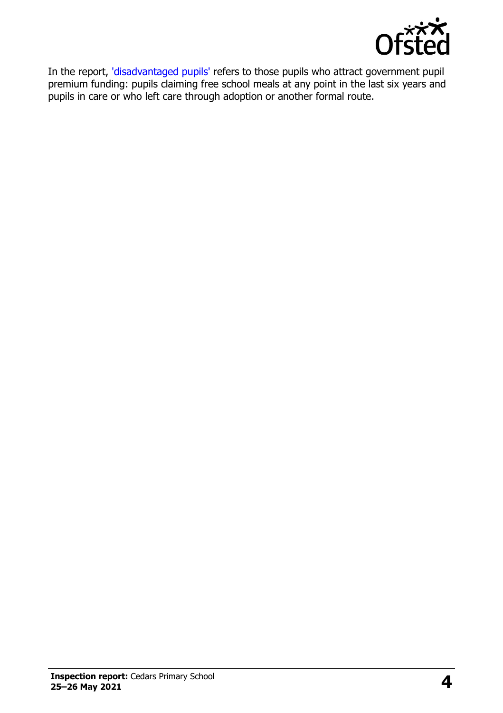

In the report, ['disadvantaged pupils'](http://www.gov.uk/guidance/pupil-premium-information-for-schools-and-alternative-provision-settings) refers to those pupils who attract government pupil premium funding: pupils claiming free school meals at any point in the last six years and pupils in care or who left care through adoption or another formal route.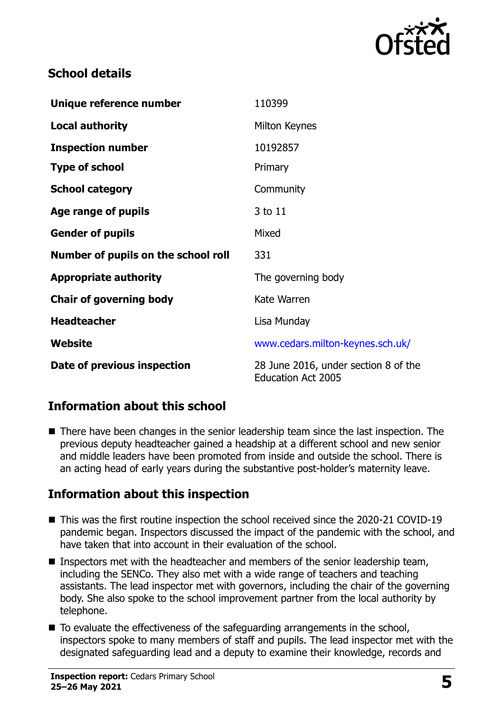

#### **School details**

| Unique reference number             | 110399                                                            |
|-------------------------------------|-------------------------------------------------------------------|
| <b>Local authority</b>              | Milton Keynes                                                     |
| <b>Inspection number</b>            | 10192857                                                          |
| <b>Type of school</b>               | Primary                                                           |
| <b>School category</b>              | Community                                                         |
| Age range of pupils                 | 3 to 11                                                           |
| <b>Gender of pupils</b>             | Mixed                                                             |
| Number of pupils on the school roll | 331                                                               |
| <b>Appropriate authority</b>        | The governing body                                                |
| <b>Chair of governing body</b>      | Kate Warren                                                       |
| <b>Headteacher</b>                  | Lisa Munday                                                       |
| <b>Website</b>                      | www.cedars.milton-keynes.sch.uk/                                  |
| Date of previous inspection         | 28 June 2016, under section 8 of the<br><b>Education Act 2005</b> |

### **Information about this school**

■ There have been changes in the senior leadership team since the last inspection. The previous deputy headteacher gained a headship at a different school and new senior and middle leaders have been promoted from inside and outside the school. There is an acting head of early years during the substantive post-holder's maternity leave.

### **Information about this inspection**

- This was the first routine inspection the school received since the 2020-21 COVID-19 pandemic began. Inspectors discussed the impact of the pandemic with the school, and have taken that into account in their evaluation of the school.
- Inspectors met with the headteacher and members of the senior leadership team, including the SENCo. They also met with a wide range of teachers and teaching assistants. The lead inspector met with governors, including the chair of the governing body. She also spoke to the school improvement partner from the local authority by telephone.
- $\blacksquare$  To evaluate the effectiveness of the safeguarding arrangements in the school, inspectors spoke to many members of staff and pupils. The lead inspector met with the designated safeguarding lead and a deputy to examine their knowledge, records and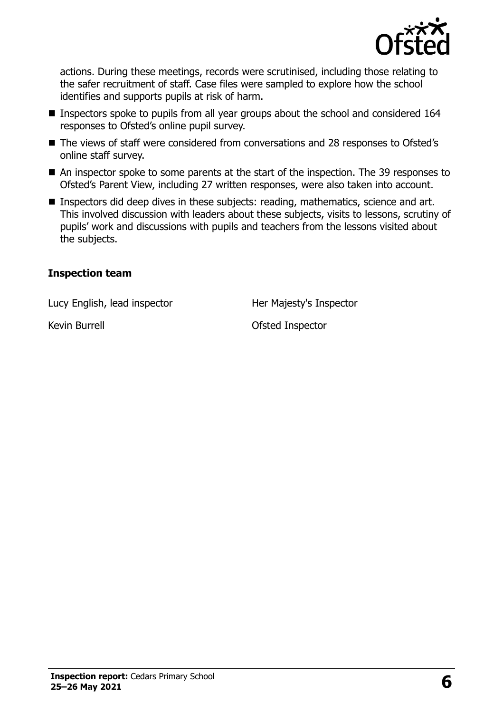

actions. During these meetings, records were scrutinised, including those relating to the safer recruitment of staff. Case files were sampled to explore how the school identifies and supports pupils at risk of harm.

- Inspectors spoke to pupils from all year groups about the school and considered 164 responses to Ofsted's online pupil survey.
- The views of staff were considered from conversations and 28 responses to Ofsted's online staff survey.
- An inspector spoke to some parents at the start of the inspection. The 39 responses to Ofsted's Parent View, including 27 written responses, were also taken into account.
- **Inspectors did deep dives in these subjects: reading, mathematics, science and art.** This involved discussion with leaders about these subjects, visits to lessons, scrutiny of pupils' work and discussions with pupils and teachers from the lessons visited about the subjects.

#### **Inspection team**

Lucy English, lead inspector **Her Majesty's Inspector** 

Kevin Burrell **Exercise Structure Inspector** Ofsted Inspector